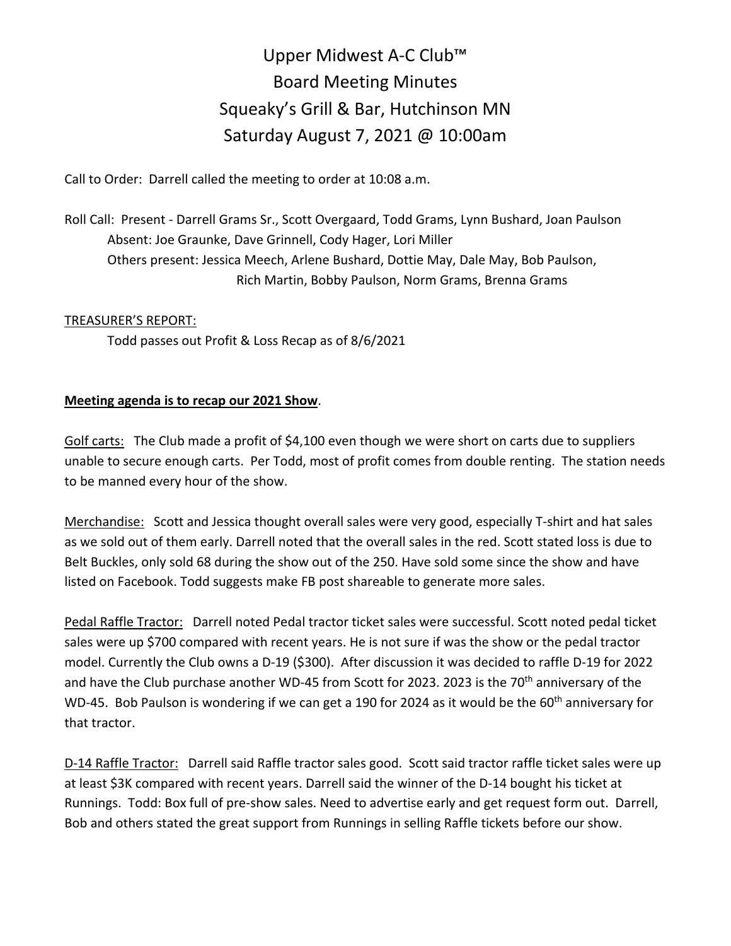## Upper Midwest A-C Club™ Board Meeting Minutes Squeaky's Grill & Bar, Hutchinson MN Saturday August 7, 2021 @ 10:00am

Call to Order: Darrell called the meeting to order at 10:08 a.m.

Roll Call: Present - Darrell Grams Sr., Scott Overgaard, Todd Grams, Lynn Bushard, Joan Paulson Absent: Joe Graunke, Dave Grinnell, Cody Hager, Lori Miller Others present: Jessica Meech, Arlene Bushard, Dottie May, Dale May, Bob Paulson, Rich Martin, Bobby Paulson, Norm Grams, Brenna Grams

## TREASURER'S REPORT:

Todd passes out Profit & Loss Recap as of 8/6/2021

## **Meeting agenda is to recap our 2021 Show**.

Golf carts: The Club made a profit of \$4,100 even though we were short on carts due to suppliers unable to secure enough carts. Per Todd, most of profit comes from double renting. The station needs to be manned every hour of the show.

Merchandise: Scott and Jessica thought overall sales were very good, especially T-shirt and hat sales as we sold out of them early. Darrell noted that the overall sales in the red. Scott stated loss is due to Belt Buckles, only sold 68 during the show out of the 250. Have sold some since the show and have listed on Facebook. Todd suggests make FB post shareable to generate more sales.

Pedal Raffle Tractor: Darrell noted Pedal tractor ticket sales were successful. Scott noted pedal ticket sales were up \$700 compared with recent years. He is not sure if was the show or the pedal tractor model. Currently the Club owns a D-19 (\$300). After discussion it was decided to raffle D-19 for 2022 and have the Club purchase another WD-45 from Scott for 2023. 2023 is the 70<sup>th</sup> anniversary of the WD-45. Bob Paulson is wondering if we can get a 190 for 2024 as it would be the 60<sup>th</sup> anniversary for that tractor.

D-14 Raffle Tractor: Darrell said Raffle tractor sales good. Scott said tractor raffle ticket sales were up at least \$3K compared with recent years. Darrell said the winner of the D-14 bought his ticket at Runnings. Todd: Box full of pre-show sales. Need to advertise early and get request form out. Darrell, Bob and others stated the great support from Runnings in selling Raffle tickets before our show.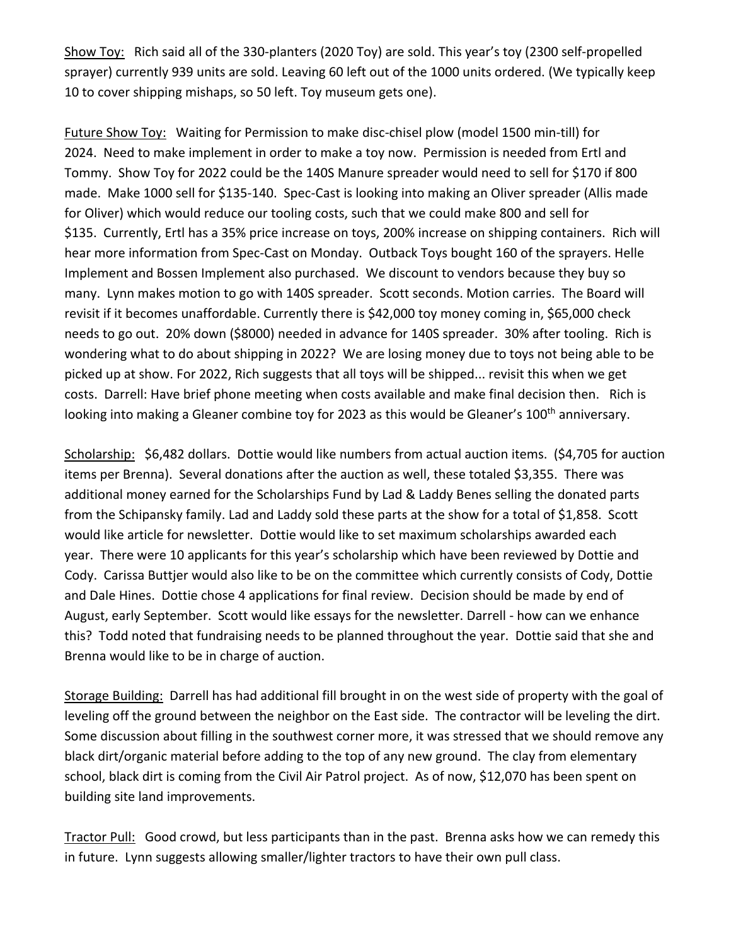Show Toy: Rich said all of the 330-planters (2020 Toy) are sold. This year's toy (2300 self-propelled sprayer) currently 939 units are sold. Leaving 60 left out of the 1000 units ordered. (We typically keep 10 to cover shipping mishaps, so 50 left. Toy museum gets one).

Future Show Toy: Waiting for Permission to make disc-chisel plow (model 1500 min-till) for 2024. Need to make implement in order to make a toy now. Permission is needed from Ertl and Tommy. Show Toy for 2022 could be the 140S Manure spreader would need to sell for \$170 if 800 made. Make 1000 sell for \$135-140. Spec-Cast is looking into making an Oliver spreader (Allis made for Oliver) which would reduce our tooling costs, such that we could make 800 and sell for \$135. Currently, Ertl has a 35% price increase on toys, 200% increase on shipping containers. Rich will hear more information from Spec-Cast on Monday. Outback Toys bought 160 of the sprayers. Helle Implement and Bossen Implement also purchased. We discount to vendors because they buy so many. Lynn makes motion to go with 140S spreader. Scott seconds. Motion carries. The Board will revisit if it becomes unaffordable. Currently there is \$42,000 toy money coming in, \$65,000 check needs to go out. 20% down (\$8000) needed in advance for 140S spreader. 30% after tooling. Rich is wondering what to do about shipping in 2022? We are losing money due to toys not being able to be picked up at show. For 2022, Rich suggests that all toys will be shipped... revisit this when we get costs. Darrell: Have brief phone meeting when costs available and make final decision then. Rich is looking into making a Gleaner combine toy for 2023 as this would be Gleaner's 100<sup>th</sup> anniversary.

Scholarship: \$6,482 dollars. Dottie would like numbers from actual auction items. (\$4,705 for auction items per Brenna). Several donations after the auction as well, these totaled \$3,355. There was additional money earned for the Scholarships Fund by Lad & Laddy Benes selling the donated parts from the Schipansky family. Lad and Laddy sold these parts at the show for a total of \$1,858. Scott would like article for newsletter. Dottie would like to set maximum scholarships awarded each year. There were 10 applicants for this year's scholarship which have been reviewed by Dottie and Cody. Carissa Buttjer would also like to be on the committee which currently consists of Cody, Dottie and Dale Hines. Dottie chose 4 applications for final review. Decision should be made by end of August, early September. Scott would like essays for the newsletter. Darrell - how can we enhance this? Todd noted that fundraising needs to be planned throughout the year. Dottie said that she and Brenna would like to be in charge of auction.

Storage Building: Darrell has had additional fill brought in on the west side of property with the goal of leveling off the ground between the neighbor on the East side. The contractor will be leveling the dirt. Some discussion about filling in the southwest corner more, it was stressed that we should remove any black dirt/organic material before adding to the top of any new ground. The clay from elementary school, black dirt is coming from the Civil Air Patrol project. As of now, \$12,070 has been spent on building site land improvements.

Tractor Pull: Good crowd, but less participants than in the past. Brenna asks how we can remedy this in future. Lynn suggests allowing smaller/lighter tractors to have their own pull class.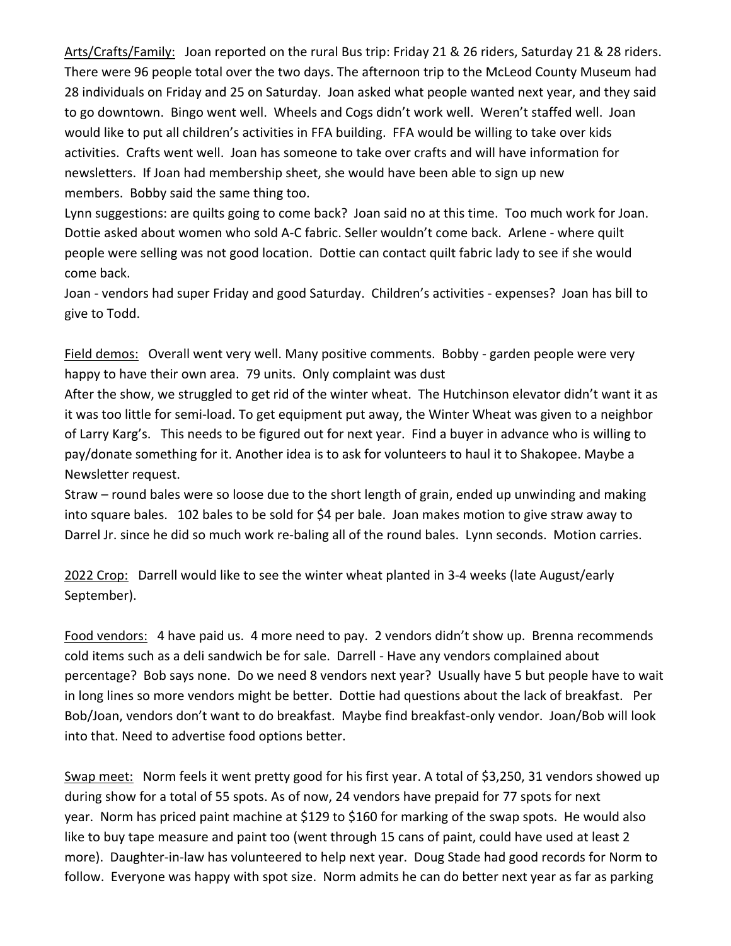Arts/Crafts/Family: Joan reported on the rural Bus trip: Friday 21 & 26 riders, Saturday 21 & 28 riders. There were 96 people total over the two days. The afternoon trip to the McLeod County Museum had 28 individuals on Friday and 25 on Saturday. Joan asked what people wanted next year, and they said to go downtown. Bingo went well. Wheels and Cogs didn't work well. Weren't staffed well. Joan would like to put all children's activities in FFA building. FFA would be willing to take over kids activities. Crafts went well. Joan has someone to take over crafts and will have information for newsletters. If Joan had membership sheet, she would have been able to sign up new members. Bobby said the same thing too.

Lynn suggestions: are quilts going to come back? Joan said no at this time. Too much work for Joan. Dottie asked about women who sold A-C fabric. Seller wouldn't come back. Arlene - where quilt people were selling was not good location. Dottie can contact quilt fabric lady to see if she would come back.

Joan - vendors had super Friday and good Saturday. Children's activities - expenses? Joan has bill to give to Todd.

Field demos: Overall went very well. Many positive comments. Bobby - garden people were very happy to have their own area. 79 units. Only complaint was dust

After the show, we struggled to get rid of the winter wheat. The Hutchinson elevator didn't want it as it was too little for semi-load. To get equipment put away, the Winter Wheat was given to a neighbor of Larry Karg's. This needs to be figured out for next year. Find a buyer in advance who is willing to pay/donate something for it. Another idea is to ask for volunteers to haul it to Shakopee. Maybe a Newsletter request.

Straw – round bales were so loose due to the short length of grain, ended up unwinding and making into square bales. 102 bales to be sold for \$4 per bale. Joan makes motion to give straw away to Darrel Jr. since he did so much work re-baling all of the round bales. Lynn seconds. Motion carries.

2022 Crop: Darrell would like to see the winter wheat planted in 3-4 weeks (late August/early September).

Food vendors: 4 have paid us. 4 more need to pay. 2 vendors didn't show up. Brenna recommends cold items such as a deli sandwich be for sale. Darrell - Have any vendors complained about percentage? Bob says none. Do we need 8 vendors next year? Usually have 5 but people have to wait in long lines so more vendors might be better. Dottie had questions about the lack of breakfast. Per Bob/Joan, vendors don't want to do breakfast. Maybe find breakfast-only vendor. Joan/Bob will look into that. Need to advertise food options better.

Swap meet: Norm feels it went pretty good for his first year. A total of \$3,250, 31 vendors showed up during show for a total of 55 spots. As of now, 24 vendors have prepaid for 77 spots for next year. Norm has priced paint machine at \$129 to \$160 for marking of the swap spots. He would also like to buy tape measure and paint too (went through 15 cans of paint, could have used at least 2 more). Daughter-in-law has volunteered to help next year. Doug Stade had good records for Norm to follow. Everyone was happy with spot size. Norm admits he can do better next year as far as parking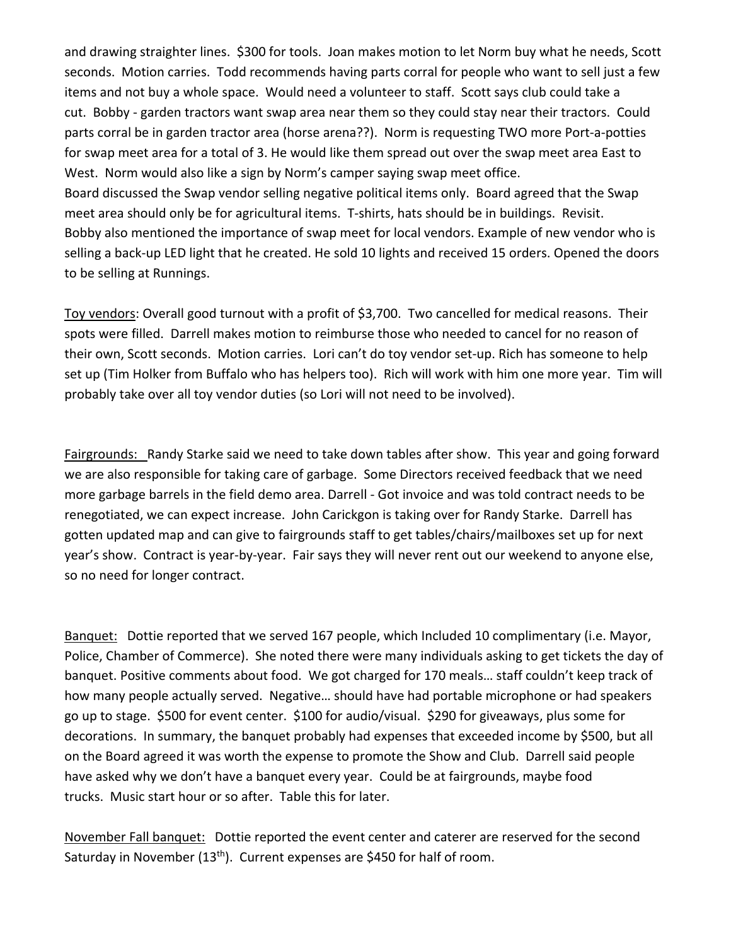and drawing straighter lines. \$300 for tools. Joan makes motion to let Norm buy what he needs, Scott seconds. Motion carries. Todd recommends having parts corral for people who want to sell just a few items and not buy a whole space. Would need a volunteer to staff. Scott says club could take a cut. Bobby - garden tractors want swap area near them so they could stay near their tractors. Could parts corral be in garden tractor area (horse arena??). Norm is requesting TWO more Port-a-potties for swap meet area for a total of 3. He would like them spread out over the swap meet area East to West. Norm would also like a sign by Norm's camper saying swap meet office. Board discussed the Swap vendor selling negative political items only. Board agreed that the Swap meet area should only be for agricultural items. T-shirts, hats should be in buildings. Revisit. Bobby also mentioned the importance of swap meet for local vendors. Example of new vendor who is selling a back-up LED light that he created. He sold 10 lights and received 15 orders. Opened the doors to be selling at Runnings.

Toy vendors: Overall good turnout with a profit of \$3,700. Two cancelled for medical reasons. Their spots were filled. Darrell makes motion to reimburse those who needed to cancel for no reason of their own, Scott seconds. Motion carries. Lori can't do toy vendor set-up. Rich has someone to help set up (Tim Holker from Buffalo who has helpers too). Rich will work with him one more year. Tim will probably take over all toy vendor duties (so Lori will not need to be involved).

Fairgrounds: Randy Starke said we need to take down tables after show. This year and going forward we are also responsible for taking care of garbage. Some Directors received feedback that we need more garbage barrels in the field demo area. Darrell - Got invoice and was told contract needs to be renegotiated, we can expect increase. John Carickgon is taking over for Randy Starke. Darrell has gotten updated map and can give to fairgrounds staff to get tables/chairs/mailboxes set up for next year's show. Contract is year-by-year. Fair says they will never rent out our weekend to anyone else, so no need for longer contract.

Banquet: Dottie reported that we served 167 people, which Included 10 complimentary (i.e. Mayor, Police, Chamber of Commerce). She noted there were many individuals asking to get tickets the day of banquet. Positive comments about food. We got charged for 170 meals… staff couldn't keep track of how many people actually served. Negative… should have had portable microphone or had speakers go up to stage. \$500 for event center. \$100 for audio/visual. \$290 for giveaways, plus some for decorations. In summary, the banquet probably had expenses that exceeded income by \$500, but all on the Board agreed it was worth the expense to promote the Show and Club. Darrell said people have asked why we don't have a banquet every year. Could be at fairgrounds, maybe food trucks. Music start hour or so after. Table this for later.

November Fall banquet: Dottie reported the event center and caterer are reserved for the second Saturday in November (13<sup>th</sup>). Current expenses are \$450 for half of room.